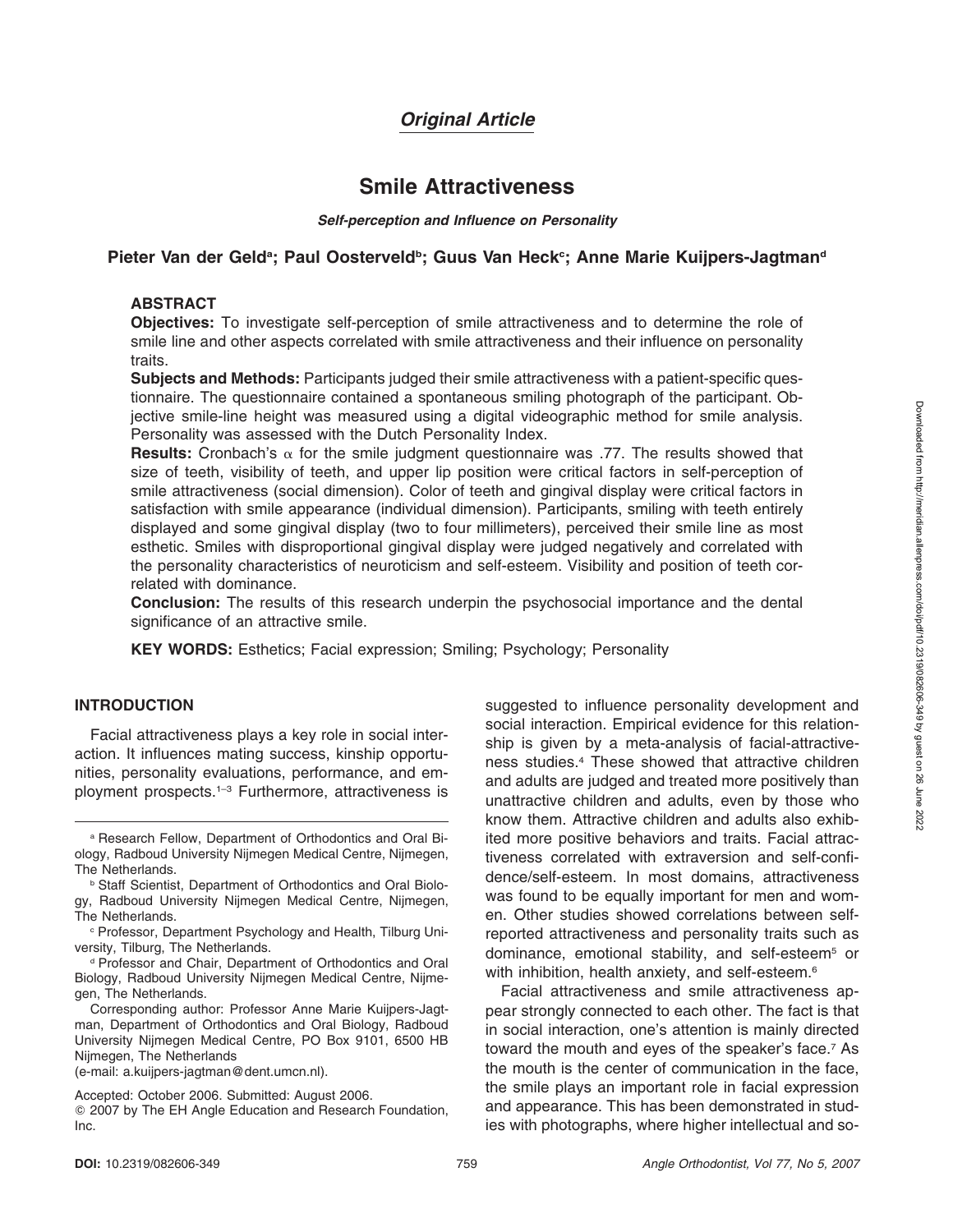# *Original Article*

# **Smile Attractiveness**

*Self-perception and Influence on Personality*

# Pieter Van der Geld<sup>a</sup>; Paul Oosterveld<sup>b</sup>; Guus Van Heck<sup>c</sup>; Anne Marie Kuijpers-Jagtman<sup>d</sup>

# **ABSTRACT**

**Objectives:** To investigate self-perception of smile attractiveness and to determine the role of smile line and other aspects correlated with smile attractiveness and their influence on personality traits.

**Subjects and Methods:** Participants judged their smile attractiveness with a patient-specific questionnaire. The questionnaire contained a spontaneous smiling photograph of the participant. Objective smile-line height was measured using a digital videographic method for smile analysis. Personality was assessed with the Dutch Personality Index.

**Results:** Cronbach's  $\alpha$  for the smile judgment questionnaire was .77. The results showed that size of teeth, visibility of teeth, and upper lip position were critical factors in self-perception of smile attractiveness (social dimension). Color of teeth and gingival display were critical factors in satisfaction with smile appearance (individual dimension). Participants, smiling with teeth entirely displayed and some gingival display (two to four millimeters), perceived their smile line as most esthetic. Smiles with disproportional gingival display were judged negatively and correlated with the personality characteristics of neuroticism and self-esteem. Visibility and position of teeth correlated with dominance.

**Conclusion:** The results of this research underpin the psychosocial importance and the dental significance of an attractive smile.

**KEY WORDS:** Esthetics; Facial expression; Smiling; Psychology; Personality

# **INTRODUCTION**

Facial attractiveness plays a key role in social interaction. It influences mating success, kinship opportunities, personality evaluations, performance, and employment prospects.1–3 Furthermore, attractiveness is

<sup>b</sup> Staff Scientist, Department of Orthodontics and Oral Biology, Radboud University Nijmegen Medical Centre, Nijmegen, The Netherlands.

<sup>c</sup> Professor, Department Psychology and Health, Tilburg University, Tilburg, The Netherlands.

<sup>d</sup> Professor and Chair, Department of Orthodontics and Oral Biology, Radboud University Nijmegen Medical Centre, Nijmegen, The Netherlands.

Corresponding author: Professor Anne Marie Kuijpers-Jagtman, Department of Orthodontics and Oral Biology, Radboud University Nijmegen Medical Centre, PO Box 9101, 6500 HB Nijmegen, The Netherlands

(e-mail: a.kuijpers-jagtman@dent.umcn.nl).

Accepted: October 2006. Submitted: August 2006.

- 2007 by The EH Angle Education and Research Foundation, Inc.

suggested to influence personality development and social interaction. Empirical evidence for this relationship is given by a meta-analysis of facial-attractiveness studies.4 These showed that attractive children and adults are judged and treated more positively than unattractive children and adults, even by those who know them. Attractive children and adults also exhibited more positive behaviors and traits. Facial attractiveness correlated with extraversion and self-confidence/self-esteem. In most domains, attractiveness was found to be equally important for men and women. Other studies showed correlations between selfreported attractiveness and personality traits such as dominance, emotional stability, and self-esteem<sup>5</sup> or with inhibition, health anxiety, and self-esteem.<sup>6</sup>

Facial attractiveness and smile attractiveness appear strongly connected to each other. The fact is that in social interaction, one's attention is mainly directed toward the mouth and eyes of the speaker's face.7 As the mouth is the center of communication in the face, the smile plays an important role in facial expression and appearance. This has been demonstrated in studies with photographs, where higher intellectual and so-

<sup>a</sup> Research Fellow, Department of Orthodontics and Oral Biology, Radboud University Nijmegen Medical Centre, Nijmegen, The Netherlands.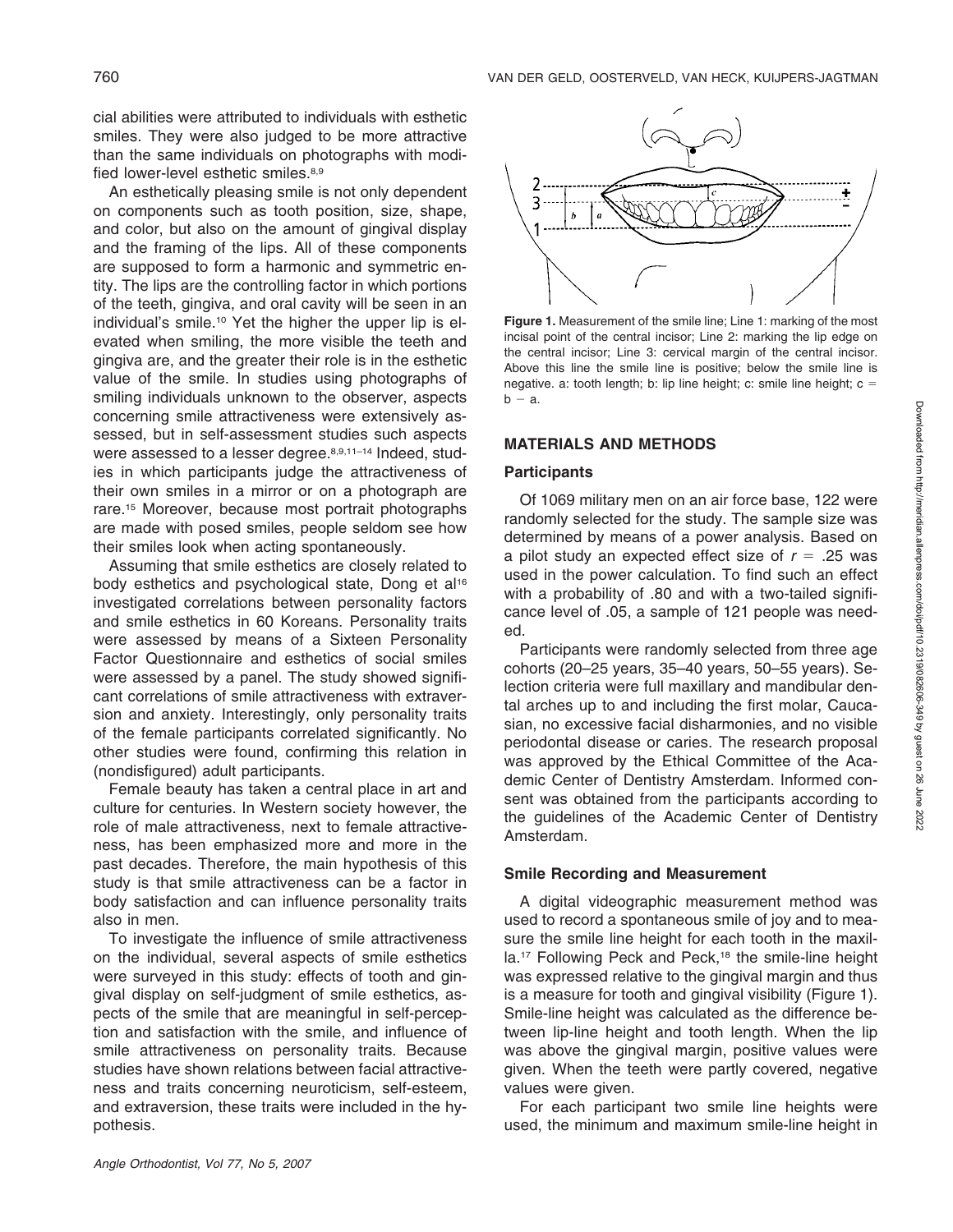cial abilities were attributed to individuals with esthetic smiles. They were also judged to be more attractive than the same individuals on photographs with modified lower-level esthetic smiles.<sup>8,9</sup>

An esthetically pleasing smile is not only dependent on components such as tooth position, size, shape, and color, but also on the amount of gingival display and the framing of the lips. All of these components are supposed to form a harmonic and symmetric entity. The lips are the controlling factor in which portions of the teeth, gingiva, and oral cavity will be seen in an individual's smile.10 Yet the higher the upper lip is elevated when smiling, the more visible the teeth and gingiva are, and the greater their role is in the esthetic value of the smile. In studies using photographs of smiling individuals unknown to the observer, aspects concerning smile attractiveness were extensively assessed, but in self-assessment studies such aspects were assessed to a lesser degree.<sup>8,9,11-14</sup> Indeed, studies in which participants judge the attractiveness of their own smiles in a mirror or on a photograph are rare.15 Moreover, because most portrait photographs are made with posed smiles, people seldom see how their smiles look when acting spontaneously.

Assuming that smile esthetics are closely related to body esthetics and psychological state, Dong et al<sup>16</sup> investigated correlations between personality factors and smile esthetics in 60 Koreans. Personality traits were assessed by means of a Sixteen Personality Factor Questionnaire and esthetics of social smiles were assessed by a panel. The study showed significant correlations of smile attractiveness with extraversion and anxiety. Interestingly, only personality traits of the female participants correlated significantly. No other studies were found, confirming this relation in (nondisfigured) adult participants.

Female beauty has taken a central place in art and culture for centuries. In Western society however, the role of male attractiveness, next to female attractiveness, has been emphasized more and more in the past decades. Therefore, the main hypothesis of this study is that smile attractiveness can be a factor in body satisfaction and can influence personality traits also in men.

To investigate the influence of smile attractiveness on the individual, several aspects of smile esthetics were surveyed in this study: effects of tooth and gingival display on self-judgment of smile esthetics, aspects of the smile that are meaningful in self-perception and satisfaction with the smile, and influence of smile attractiveness on personality traits. Because studies have shown relations between facial attractiveness and traits concerning neuroticism, self-esteem, and extraversion, these traits were included in the hypothesis.



**Figure 1.** Measurement of the smile line; Line 1: marking of the most incisal point of the central incisor; Line 2: marking the lip edge on the central incisor; Line 3: cervical margin of the central incisor. Above this line the smile line is positive; below the smile line is negative. a: tooth length; b: lip line height; c: smile line height; c  $h - a$ .

## **MATERIALS AND METHODS**

#### **Participants**

Of 1069 military men on an air force base, 122 were randomly selected for the study. The sample size was determined by means of a power analysis. Based on a pilot study an expected effect size of  $r = .25$  was used in the power calculation. To find such an effect with a probability of .80 and with a two-tailed significance level of .05, a sample of 121 people was needed.

Participants were randomly selected from three age cohorts (20–25 years, 35–40 years, 50–55 years). Selection criteria were full maxillary and mandibular dental arches up to and including the first molar, Caucasian, no excessive facial disharmonies, and no visible periodontal disease or caries. The research proposal was approved by the Ethical Committee of the Academic Center of Dentistry Amsterdam. Informed consent was obtained from the participants according to the guidelines of the Academic Center of Dentistry Amsterdam.

#### **Smile Recording and Measurement**

A digital videographic measurement method was used to record a spontaneous smile of joy and to measure the smile line height for each tooth in the maxilla.<sup>17</sup> Following Peck and Peck,<sup>18</sup> the smile-line height was expressed relative to the gingival margin and thus is a measure for tooth and gingival visibility (Figure 1). Smile-line height was calculated as the difference between lip-line height and tooth length. When the lip was above the gingival margin, positive values were given. When the teeth were partly covered, negative values were given.

For each participant two smile line heights were used, the minimum and maximum smile-line height in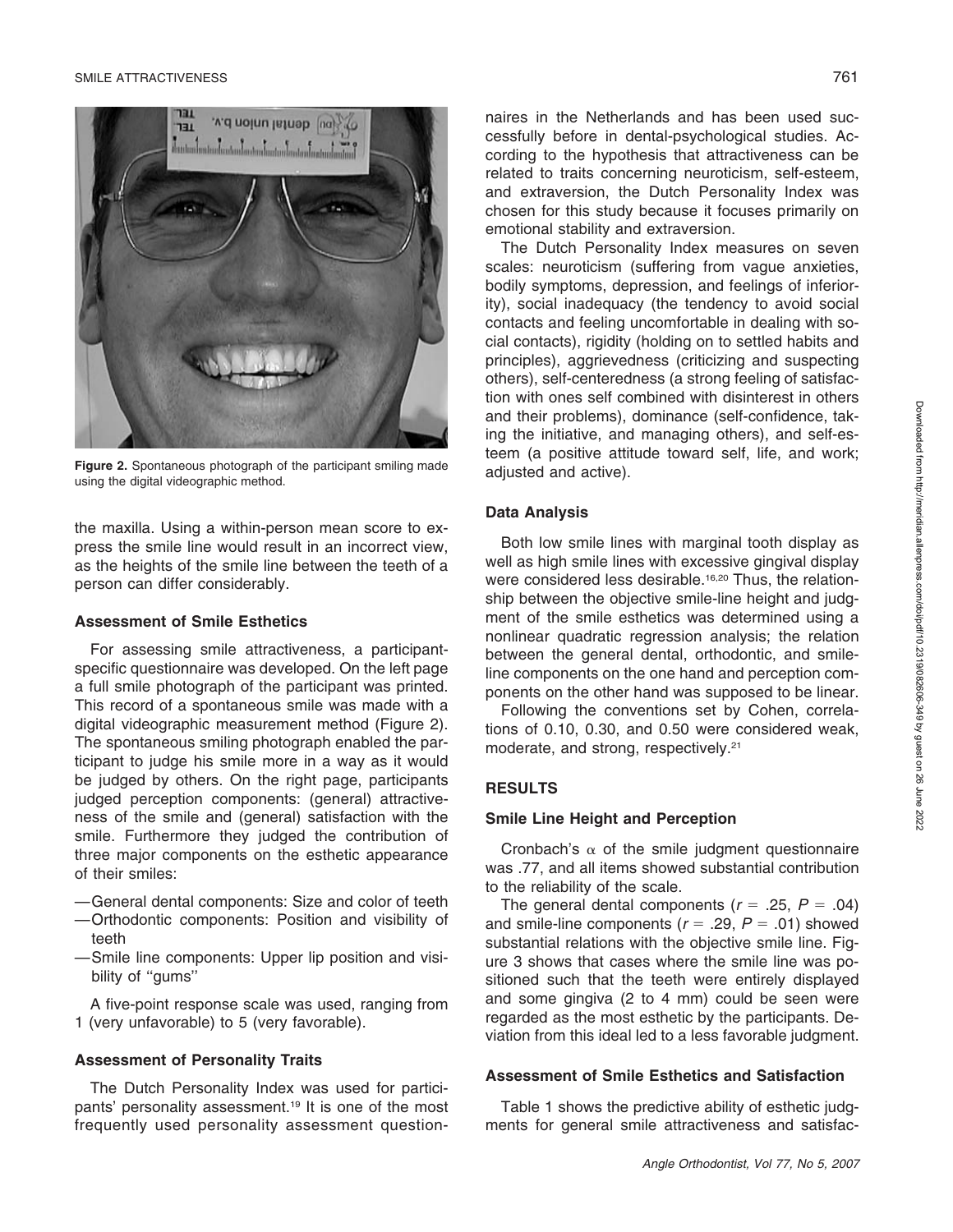

**Figure 2.** Spontaneous photograph of the participant smiling made using the digital videographic method.

the maxilla. Using a within-person mean score to express the smile line would result in an incorrect view, as the heights of the smile line between the teeth of a person can differ considerably.

## **Assessment of Smile Esthetics**

For assessing smile attractiveness, a participantspecific questionnaire was developed. On the left page a full smile photograph of the participant was printed. This record of a spontaneous smile was made with a digital videographic measurement method (Figure 2). The spontaneous smiling photograph enabled the participant to judge his smile more in a way as it would be judged by others. On the right page, participants judged perception components: (general) attractiveness of the smile and (general) satisfaction with the smile. Furthermore they judged the contribution of three major components on the esthetic appearance of their smiles:

- —General dental components: Size and color of teeth
- —Orthodontic components: Position and visibility of teeth
- —Smile line components: Upper lip position and visibility of "gums"

A five-point response scale was used, ranging from 1 (very unfavorable) to 5 (very favorable).

# **Assessment of Personality Traits**

The Dutch Personality Index was used for participants' personality assessment.<sup>19</sup> It is one of the most frequently used personality assessment questionnaires in the Netherlands and has been used successfully before in dental-psychological studies. According to the hypothesis that attractiveness can be related to traits concerning neuroticism, self-esteem, and extraversion, the Dutch Personality Index was chosen for this study because it focuses primarily on emotional stability and extraversion.

The Dutch Personality Index measures on seven scales: neuroticism (suffering from vague anxieties, bodily symptoms, depression, and feelings of inferiority), social inadequacy (the tendency to avoid social contacts and feeling uncomfortable in dealing with social contacts), rigidity (holding on to settled habits and principles), aggrievedness (criticizing and suspecting others), self-centeredness (a strong feeling of satisfaction with ones self combined with disinterest in others and their problems), dominance (self-confidence, taking the initiative, and managing others), and self-esteem (a positive attitude toward self, life, and work; adjusted and active).

## **Data Analysis**

Both low smile lines with marginal tooth display as well as high smile lines with excessive gingival display were considered less desirable.<sup>16,20</sup> Thus, the relationship between the objective smile-line height and judgment of the smile esthetics was determined using a nonlinear quadratic regression analysis; the relation between the general dental, orthodontic, and smileline components on the one hand and perception components on the other hand was supposed to be linear.

Following the conventions set by Cohen, correlations of 0.10, 0.30, and 0.50 were considered weak, moderate, and strong, respectively.21

# **RESULTS**

#### **Smile Line Height and Perception**

Cronbach's  $\alpha$  of the smile judgment questionnaire was .77, and all items showed substantial contribution to the reliability of the scale.

The general dental components  $(r = .25, P = .04)$ and smile-line components ( $r = .29$ ,  $P = .01$ ) showed substantial relations with the objective smile line. Figure 3 shows that cases where the smile line was positioned such that the teeth were entirely displayed and some gingiva (2 to 4 mm) could be seen were regarded as the most esthetic by the participants. Deviation from this ideal led to a less favorable judgment.

### **Assessment of Smile Esthetics and Satisfaction**

Table 1 shows the predictive ability of esthetic judgments for general smile attractiveness and satisfac-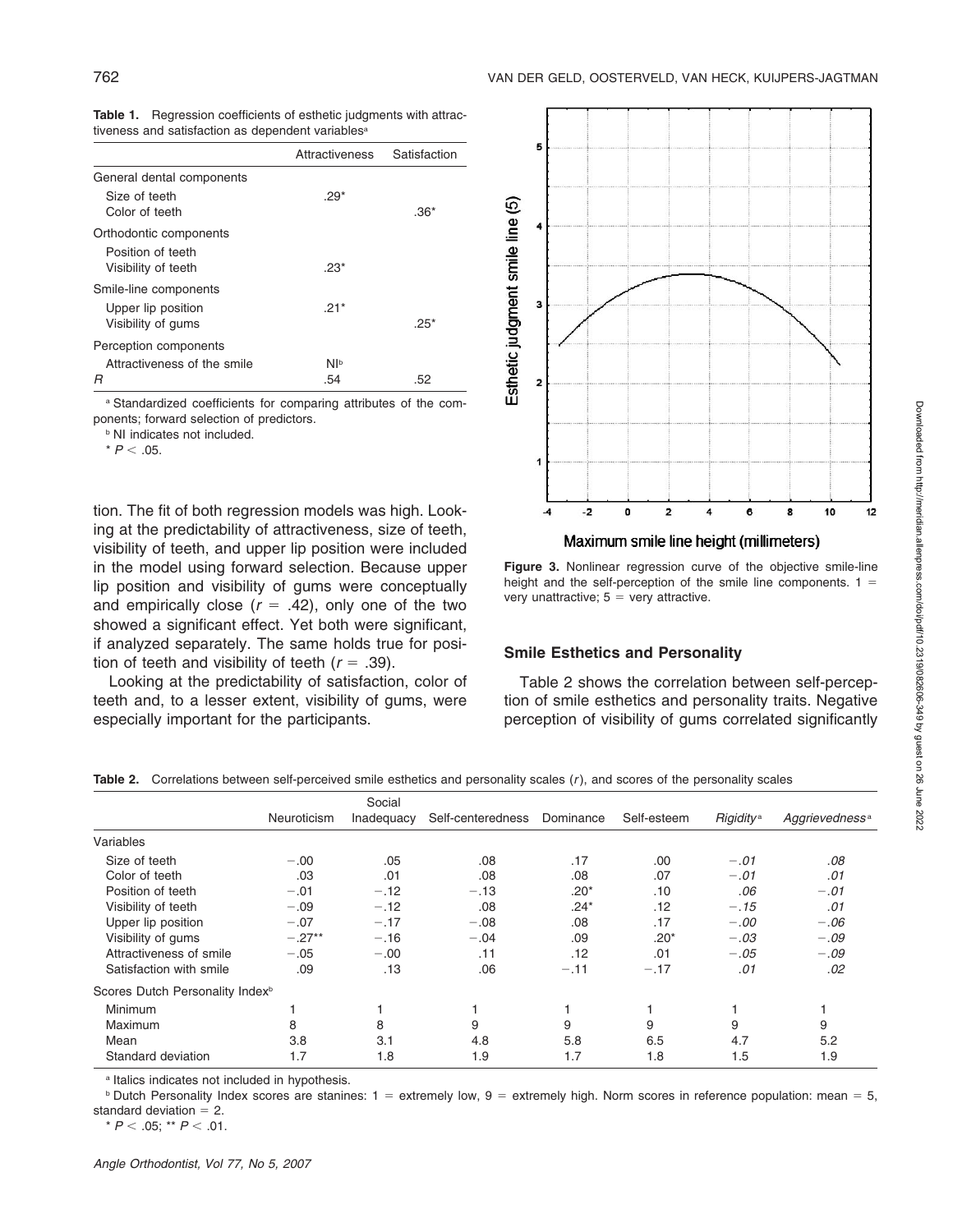|                                          | Attractiveness | Satisfaction |
|------------------------------------------|----------------|--------------|
| General dental components                |                |              |
| Size of teeth<br>Color of teeth          | $.29*$         | $.36*$       |
| Orthodontic components                   |                |              |
| Position of teeth<br>Visibility of teeth | $.23*$         |              |
| Smile-line components                    |                |              |
| Upper lip position<br>Visibility of gums | $.21*$         | $.25*$       |
| Perception components                    |                |              |
| Attractiveness of the smile              | NIb            |              |
| R                                        | .54            | .52          |

**Table 1.** Regression coefficients of esthetic judgments with attractiveness and satisfaction as dependent variables<sup>a</sup>

<sup>a</sup> Standardized coefficients for comparing attributes of the components; forward selection of predictors.

**b NI indicates not included.** 

 $*$  *P*  $< .05$ .

tion. The fit of both regression models was high. Looking at the predictability of attractiveness, size of teeth, visibility of teeth, and upper lip position were included in the model using forward selection. Because upper lip position and visibility of gums were conceptually and empirically close  $(r = .42)$ , only one of the two showed a significant effect. Yet both were significant, if analyzed separately. The same holds true for position of teeth and visibility of teeth  $(r = .39)$ .

Looking at the predictability of satisfaction, color of teeth and, to a lesser extent, visibility of gums, were especially important for the participants.



Maximum smile line height (millimeters)

**Figure 3.** Nonlinear regression curve of the objective smile-line height and the self-perception of the smile line components.  $1 =$ very unattractive;  $5 =$  very attractive.

### **Smile Esthetics and Personality**

Table 2 shows the correlation between self-perception of smile esthetics and personality traits. Negative perception of visibility of gums correlated significantly

|  |  |  |  |  |  |  | Table 2. Correlations between self-perceived smile esthetics and personality scales $(r)$ , and scores of the personality scales |
|--|--|--|--|--|--|--|----------------------------------------------------------------------------------------------------------------------------------|
|--|--|--|--|--|--|--|----------------------------------------------------------------------------------------------------------------------------------|

|                                             |             | Social     |                   |           |             |                       |                            |
|---------------------------------------------|-------------|------------|-------------------|-----------|-------------|-----------------------|----------------------------|
|                                             | Neuroticism | Inadequacy | Self-centeredness | Dominance | Self-esteem | Rigidity <sup>a</sup> | Aggrievedness <sup>a</sup> |
| Variables                                   |             |            |                   |           |             |                       |                            |
| Size of teeth                               | $-.00$      | .05        | .08               | .17       | .00         | $-.01$                | .08                        |
| Color of teeth                              | .03         | .01        | .08               | .08       | .07         | $-.01$                | .01                        |
| Position of teeth                           | $-.01$      | $-.12$     | $-.13$            | $.20*$    | .10         | .06                   | $-.01$                     |
| Visibility of teeth                         | $-.09$      | $-.12$     | .08               | $.24*$    | .12         | $-.15$                | .01                        |
| Upper lip position                          | $-.07$      | $-.17$     | $-.08$            | .08       | .17         | $-.00$                | $-.06$                     |
| Visibility of gums                          | $-.27**$    | $-.16$     | $-.04$            | .09       | $.20*$      | $-.03$                | $-.09$                     |
| Attractiveness of smile                     | $-.05$      | $-.00$     | .11               | .12       | .01         | $-.05$                | $-.09$                     |
| Satisfaction with smile                     | .09         | .13        | .06               | $-.11$    | $-.17$      | .01                   | .02                        |
| Scores Dutch Personality Index <sup>b</sup> |             |            |                   |           |             |                       |                            |
| Minimum                                     |             |            |                   |           |             |                       |                            |
| Maximum                                     | 8           | 8          | 9                 | 9         | 9           | 9                     | 9                          |
| Mean                                        | 3.8         | 3.1        | 4.8               | 5.8       | 6.5         | 4.7                   | 5.2                        |
| Standard deviation                          | 1.7         | 1.8        | 1.9               | 1.7       | 1.8         | 1.5                   | 1.9                        |

a Italics indicates not included in hypothesis.

 $\text{b}$  Dutch Personality Index scores are stanines: 1 = extremely low, 9 = extremely high. Norm scores in reference population: mean = 5, standard deviation  $= 2$ .

 $*$  *P*  $< .05; ** P < .01$ .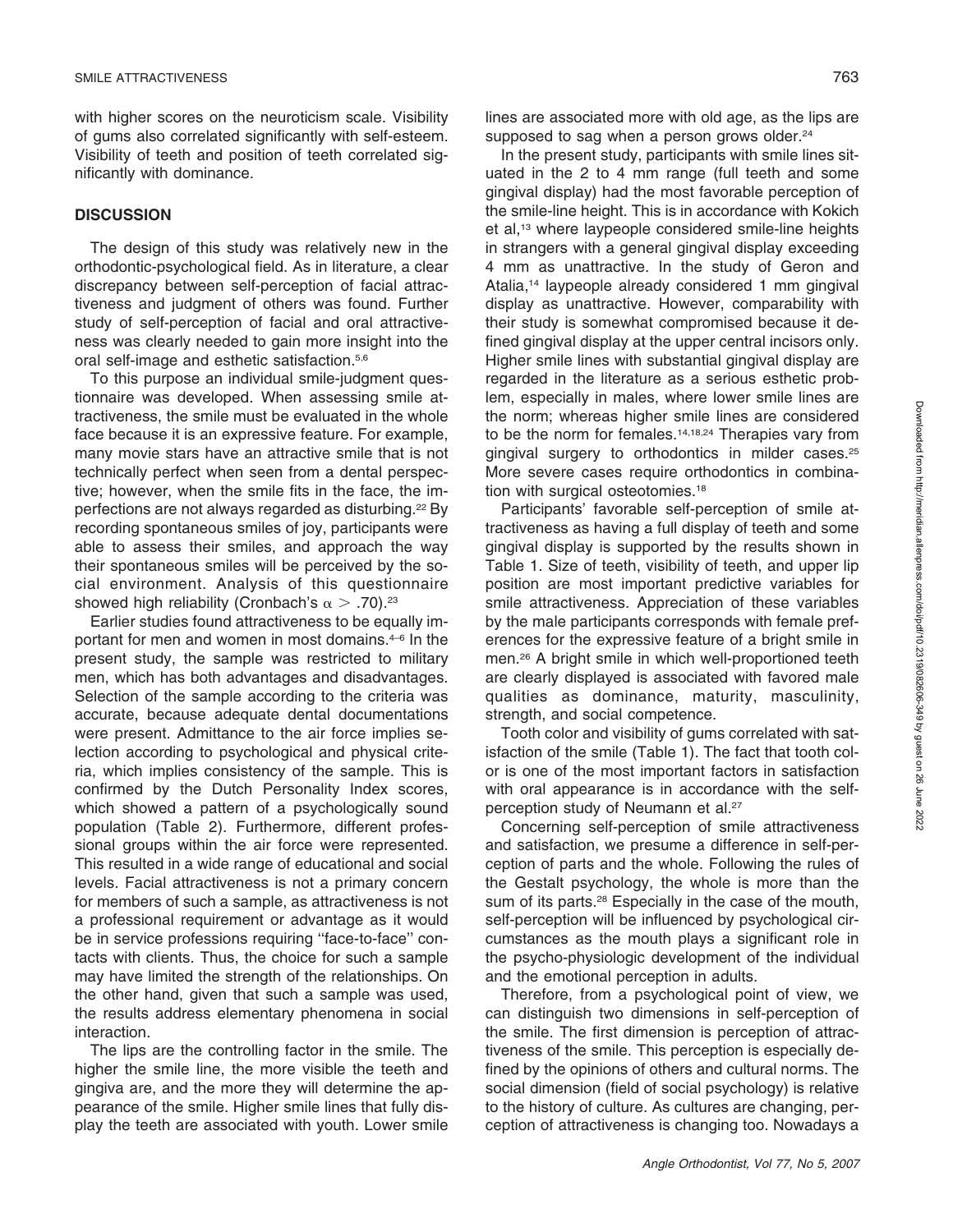with higher scores on the neuroticism scale. Visibility of gums also correlated significantly with self-esteem. Visibility of teeth and position of teeth correlated significantly with dominance.

# **DISCUSSION**

The design of this study was relatively new in the orthodontic-psychological field. As in literature, a clear discrepancy between self-perception of facial attractiveness and judgment of others was found. Further study of self-perception of facial and oral attractiveness was clearly needed to gain more insight into the oral self-image and esthetic satisfaction.<sup>5,6</sup>

To this purpose an individual smile-judgment questionnaire was developed. When assessing smile attractiveness, the smile must be evaluated in the whole face because it is an expressive feature. For example, many movie stars have an attractive smile that is not technically perfect when seen from a dental perspective; however, when the smile fits in the face, the imperfections are not always regarded as disturbing.22 By recording spontaneous smiles of joy, participants were able to assess their smiles, and approach the way their spontaneous smiles will be perceived by the social environment. Analysis of this questionnaire showed high reliability (Cronbach's  $\alpha$  > .70).<sup>23</sup>

Earlier studies found attractiveness to be equally important for men and women in most domains.4–6 In the present study, the sample was restricted to military men, which has both advantages and disadvantages. Selection of the sample according to the criteria was accurate, because adequate dental documentations were present. Admittance to the air force implies selection according to psychological and physical criteria, which implies consistency of the sample. This is confirmed by the Dutch Personality Index scores, which showed a pattern of a psychologically sound population (Table 2). Furthermore, different professional groups within the air force were represented. This resulted in a wide range of educational and social levels. Facial attractiveness is not a primary concern for members of such a sample, as attractiveness is not a professional requirement or advantage as it would be in service professions requiring ''face-to-face'' contacts with clients. Thus, the choice for such a sample may have limited the strength of the relationships. On the other hand, given that such a sample was used, the results address elementary phenomena in social interaction.

The lips are the controlling factor in the smile. The higher the smile line, the more visible the teeth and gingiva are, and the more they will determine the appearance of the smile. Higher smile lines that fully display the teeth are associated with youth. Lower smile

In the present study, participants with smile lines situated in the 2 to 4 mm range (full teeth and some gingival display) had the most favorable perception of the smile-line height. This is in accordance with Kokich et al,<sup>13</sup> where laypeople considered smile-line heights in strangers with a general gingival display exceeding 4 mm as unattractive. In the study of Geron and Atalia,<sup>14</sup> laypeople already considered 1 mm gingival display as unattractive. However, comparability with their study is somewhat compromised because it defined gingival display at the upper central incisors only. Higher smile lines with substantial gingival display are regarded in the literature as a serious esthetic problem, especially in males, where lower smile lines are the norm; whereas higher smile lines are considered to be the norm for females.<sup>14,18,24</sup> Therapies vary from gingival surgery to orthodontics in milder cases.<sup>25</sup> More severe cases require orthodontics in combination with surgical osteotomies.<sup>18</sup>

Participants' favorable self-perception of smile attractiveness as having a full display of teeth and some gingival display is supported by the results shown in Table 1. Size of teeth, visibility of teeth, and upper lip position are most important predictive variables for smile attractiveness. Appreciation of these variables by the male participants corresponds with female preferences for the expressive feature of a bright smile in men.<sup>26</sup> A bright smile in which well-proportioned teeth are clearly displayed is associated with favored male qualities as dominance, maturity, masculinity, strength, and social competence.

Tooth color and visibility of gums correlated with satisfaction of the smile (Table 1). The fact that tooth color is one of the most important factors in satisfaction with oral appearance is in accordance with the selfperception study of Neumann et al.<sup>27</sup>

Concerning self-perception of smile attractiveness and satisfaction, we presume a difference in self-perception of parts and the whole. Following the rules of the Gestalt psychology, the whole is more than the sum of its parts.<sup>28</sup> Especially in the case of the mouth, self-perception will be influenced by psychological circumstances as the mouth plays a significant role in the psycho-physiologic development of the individual and the emotional perception in adults.

Therefore, from a psychological point of view, we can distinguish two dimensions in self-perception of the smile. The first dimension is perception of attractiveness of the smile. This perception is especially defined by the opinions of others and cultural norms. The social dimension (field of social psychology) is relative to the history of culture. As cultures are changing, perception of attractiveness is changing too. Nowadays a

Downloaded from http://meridian.allenpress.com/doi/pdf110.2319/082606-349 by guest on 26 June 2022 Downloaded from http://meridian.allenpress.com/doi/pdf/10.2319/082606-349 by guest on 26 June 2022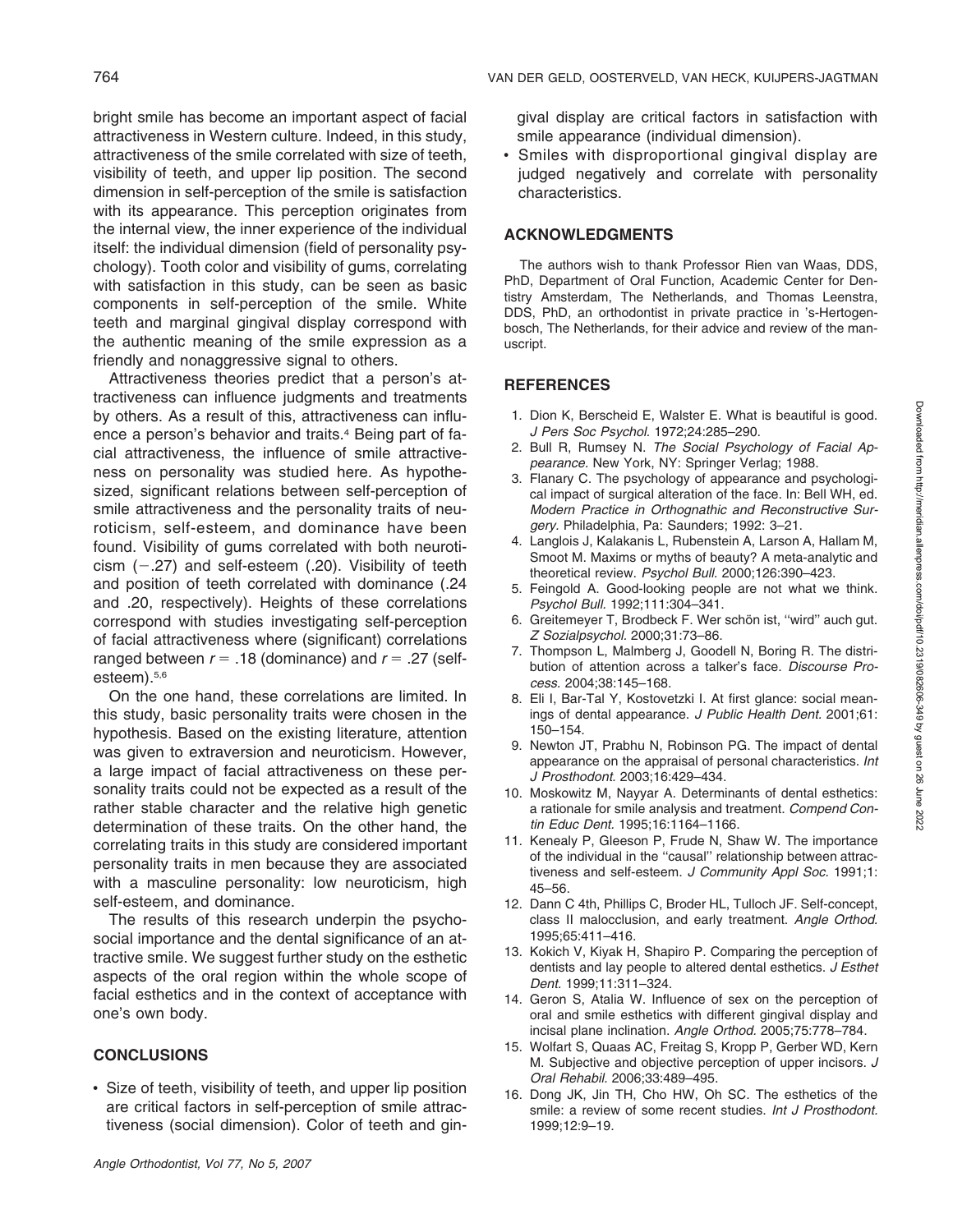bright smile has become an important aspect of facial attractiveness in Western culture. Indeed, in this study, attractiveness of the smile correlated with size of teeth, visibility of teeth, and upper lip position. The second dimension in self-perception of the smile is satisfaction with its appearance. This perception originates from the internal view, the inner experience of the individual itself: the individual dimension (field of personality psychology). Tooth color and visibility of gums, correlating with satisfaction in this study, can be seen as basic components in self-perception of the smile. White teeth and marginal gingival display correspond with the authentic meaning of the smile expression as a friendly and nonaggressive signal to others.

Attractiveness theories predict that a person's attractiveness can influence judgments and treatments by others. As a result of this, attractiveness can influence a person's behavior and traits.4 Being part of facial attractiveness, the influence of smile attractiveness on personality was studied here. As hypothesized, significant relations between self-perception of smile attractiveness and the personality traits of neuroticism, self-esteem, and dominance have been found. Visibility of gums correlated with both neuroticism  $(-.27)$  and self-esteem  $(.20)$ . Visibility of teeth and position of teeth correlated with dominance (.24 and .20, respectively). Heights of these correlations correspond with studies investigating self-perception of facial attractiveness where (significant) correlations ranged between  $r = .18$  (dominance) and  $r = .27$  (selfesteem).<sup>5,6</sup>

On the one hand, these correlations are limited. In this study, basic personality traits were chosen in the hypothesis. Based on the existing literature, attention was given to extraversion and neuroticism. However, a large impact of facial attractiveness on these personality traits could not be expected as a result of the rather stable character and the relative high genetic determination of these traits. On the other hand, the correlating traits in this study are considered important personality traits in men because they are associated with a masculine personality: low neuroticism, high self-esteem, and dominance.

The results of this research underpin the psychosocial importance and the dental significance of an attractive smile. We suggest further study on the esthetic aspects of the oral region within the whole scope of facial esthetics and in the context of acceptance with one's own body.

#### **CONCLUSIONS**

• Size of teeth, visibility of teeth, and upper lip position are critical factors in self-perception of smile attractiveness (social dimension). Color of teeth and gingival display are critical factors in satisfaction with smile appearance (individual dimension).

• Smiles with disproportional gingival display are judged negatively and correlate with personality characteristics.

## **ACKNOWLEDGMENTS**

The authors wish to thank Professor Rien van Waas, DDS, PhD, Department of Oral Function, Academic Center for Dentistry Amsterdam, The Netherlands, and Thomas Leenstra, DDS, PhD, an orthodontist in private practice in 's-Hertogenbosch, The Netherlands, for their advice and review of the manuscript.

## **REFERENCES**

- 1. Dion K, Berscheid E, Walster E. What is beautiful is good. *J Pers Soc Psychol.* 1972;24:285–290.
- 2. Bull R, Rumsey N. *The Social Psychology of Facial Appearance.* New York, NY: Springer Verlag; 1988.
- 3. Flanary C. The psychology of appearance and psychological impact of surgical alteration of the face. In: Bell WH, ed. *Modern Practice in Orthognathic and Reconstructive Surgery.* Philadelphia, Pa: Saunders; 1992: 3–21.
- 4. Langlois J, Kalakanis L, Rubenstein A, Larson A, Hallam M, Smoot M. Maxims or myths of beauty? A meta-analytic and theoretical review. *Psychol Bull.* 2000;126:390–423.
- 5. Feingold A. Good-looking people are not what we think. *Psychol Bull.* 1992;111:304–341.
- 6. Greitemeyer T, Brodbeck F. Wer schön ist, "wird" auch gut. *Z Sozialpsychol.* 2000;31:73–86.
- 7. Thompson L, Malmberg J, Goodell N, Boring R. The distribution of attention across a talker's face. *Discourse Process.* 2004;38:145–168.
- 8. Eli I, Bar-Tal Y, Kostovetzki I. At first glance: social meanings of dental appearance. *J Public Health Dent.* 2001;61: 150–154.
- 9. Newton JT, Prabhu N, Robinson PG. The impact of dental appearance on the appraisal of personal characteristics. *Int J Prosthodont.* 2003;16:429–434.
- 10. Moskowitz M, Nayyar A. Determinants of dental esthetics: a rationale for smile analysis and treatment. *Compend Contin Educ Dent.* 1995;16:1164–1166.
- 11. Kenealy P, Gleeson P, Frude N, Shaw W. The importance of the individual in the ''causal'' relationship between attractiveness and self-esteem. *J Community Appl Soc.* 1991;1: 45–56.
- 12. Dann C 4th, Phillips C, Broder HL, Tulloch JF. Self-concept, class II malocclusion, and early treatment. *Angle Orthod.* 1995;65:411–416.
- 13. Kokich V, Kiyak H, Shapiro P. Comparing the perception of dentists and lay people to altered dental esthetics. *J Esthet Dent.* 1999;11:311–324.
- 14. Geron S, Atalia W. Influence of sex on the perception of oral and smile esthetics with different gingival display and incisal plane inclination. *Angle Orthod.* 2005;75:778–784.
- 15. Wolfart S, Quaas AC, Freitag S, Kropp P, Gerber WD, Kern M. Subjective and objective perception of upper incisors. *J Oral Rehabil.* 2006;33:489–495.
- 16. Dong JK, Jin TH, Cho HW, Oh SC. The esthetics of the smile: a review of some recent studies. *Int J Prosthodont.* 1999;12:9–19.